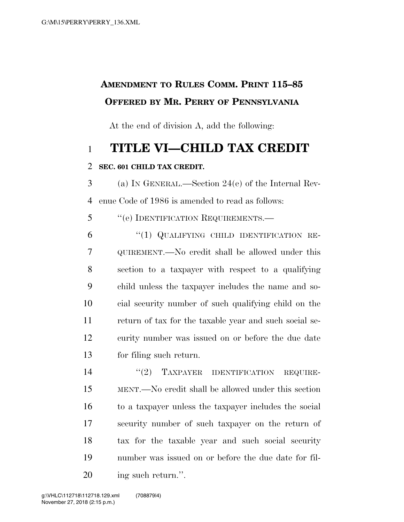## **AMENDMENT TO RULES COMM. PRINT 115–85 OFFERED BY MR. PERRY OF PENNSYLVANIA**

At the end of division A, add the following:

## **TITLE VI—CHILD TAX CREDIT**

## **SEC. 601 CHILD TAX CREDIT.**

 (a) IN GENERAL.—Section 24(e) of the Internal Rev-enue Code of 1986 is amended to read as follows:

5 "(e) IDENTIFICATION REQUIREMENTS.—

6 "(1) QUALIFYING CHILD IDENTIFICATION RE- QUIREMENT.—No credit shall be allowed under this section to a taxpayer with respect to a qualifying child unless the taxpayer includes the name and so- cial security number of such qualifying child on the return of tax for the taxable year and such social se- curity number was issued on or before the due date for filing such return.

14 "(2) TAXPAYER IDENTIFICATION REQUIRE- MENT.—No credit shall be allowed under this section to a taxpayer unless the taxpayer includes the social security number of such taxpayer on the return of tax for the taxable year and such social security number was issued on or before the due date for fil-20 ing such return.".